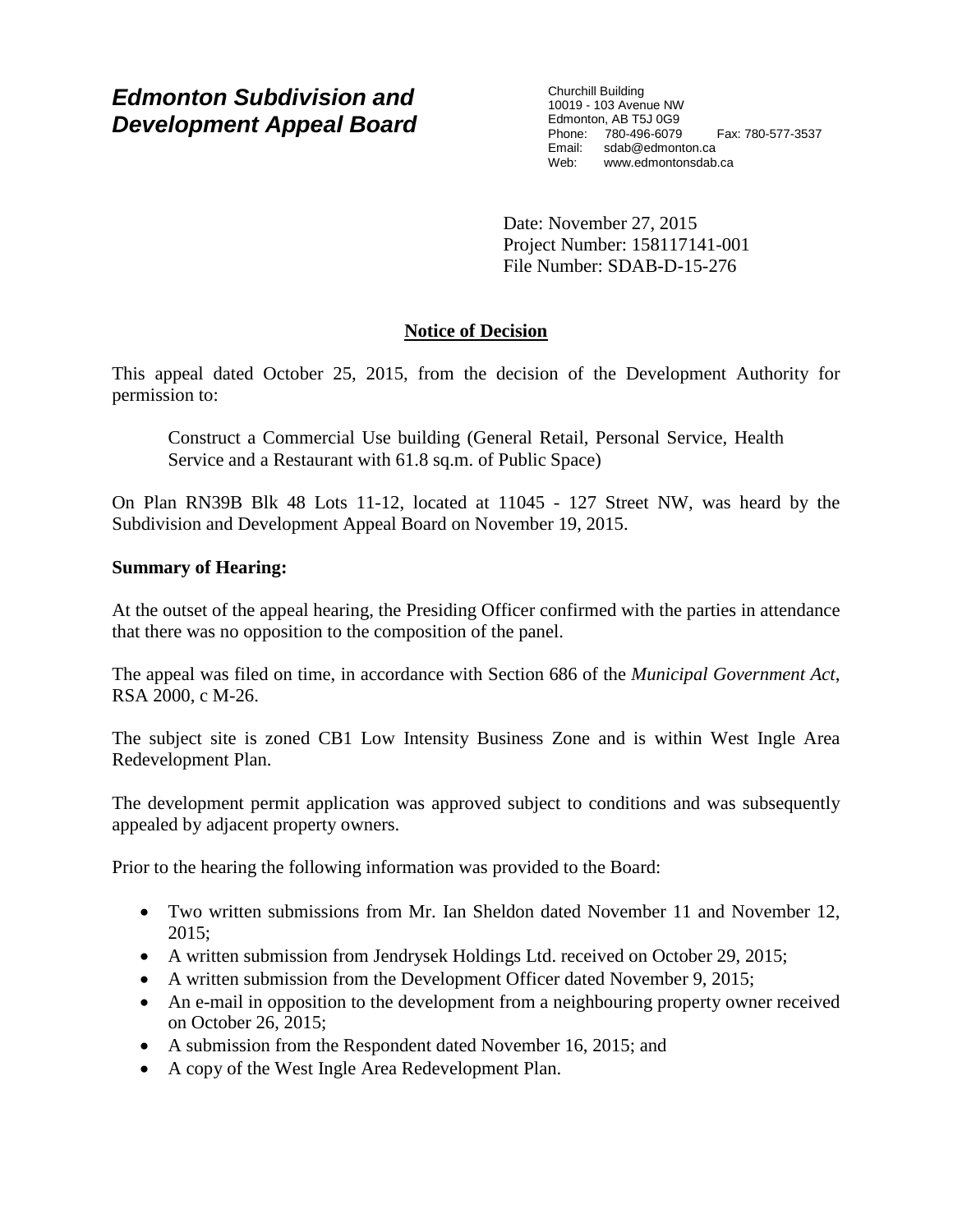# *Edmonton Subdivision and Development Appeal Board*

Churchill Building 10019 - 103 Avenue NW Edmonton, AB T5J 0G9 Phone: 780-496-6079 Fax: 780-577-3537 Email: sdab@edmonton.ca Web: www.edmontonsdab.ca

Date: November 27, 2015 Project Number: 158117141-001 File Number: SDAB-D-15-276

# **Notice of Decision**

This appeal dated October 25, 2015, from the decision of the Development Authority for permission to:

Construct a Commercial Use building (General Retail, Personal Service, Health Service and a Restaurant with 61.8 sq.m. of Public Space)

On Plan RN39B Blk 48 Lots 11-12, located at 11045 - 127 Street NW, was heard by the Subdivision and Development Appeal Board on November 19, 2015.

# **Summary of Hearing:**

At the outset of the appeal hearing, the Presiding Officer confirmed with the parties in attendance that there was no opposition to the composition of the panel.

The appeal was filed on time, in accordance with Section 686 of the *Municipal Government Act*, RSA 2000, c M-26.

The subject site is zoned CB1 Low Intensity Business Zone and is within West Ingle Area Redevelopment Plan.

The development permit application was approved subject to conditions and was subsequently appealed by adjacent property owners.

Prior to the hearing the following information was provided to the Board:

- Two written submissions from Mr. Ian Sheldon dated November 11 and November 12, 2015;
- A written submission from Jendrysek Holdings Ltd. received on October 29, 2015;
- A written submission from the Development Officer dated November 9, 2015;
- An e-mail in opposition to the development from a neighbouring property owner received on October 26, 2015;
- A submission from the Respondent dated November 16, 2015; and
- A copy of the West Ingle Area Redevelopment Plan.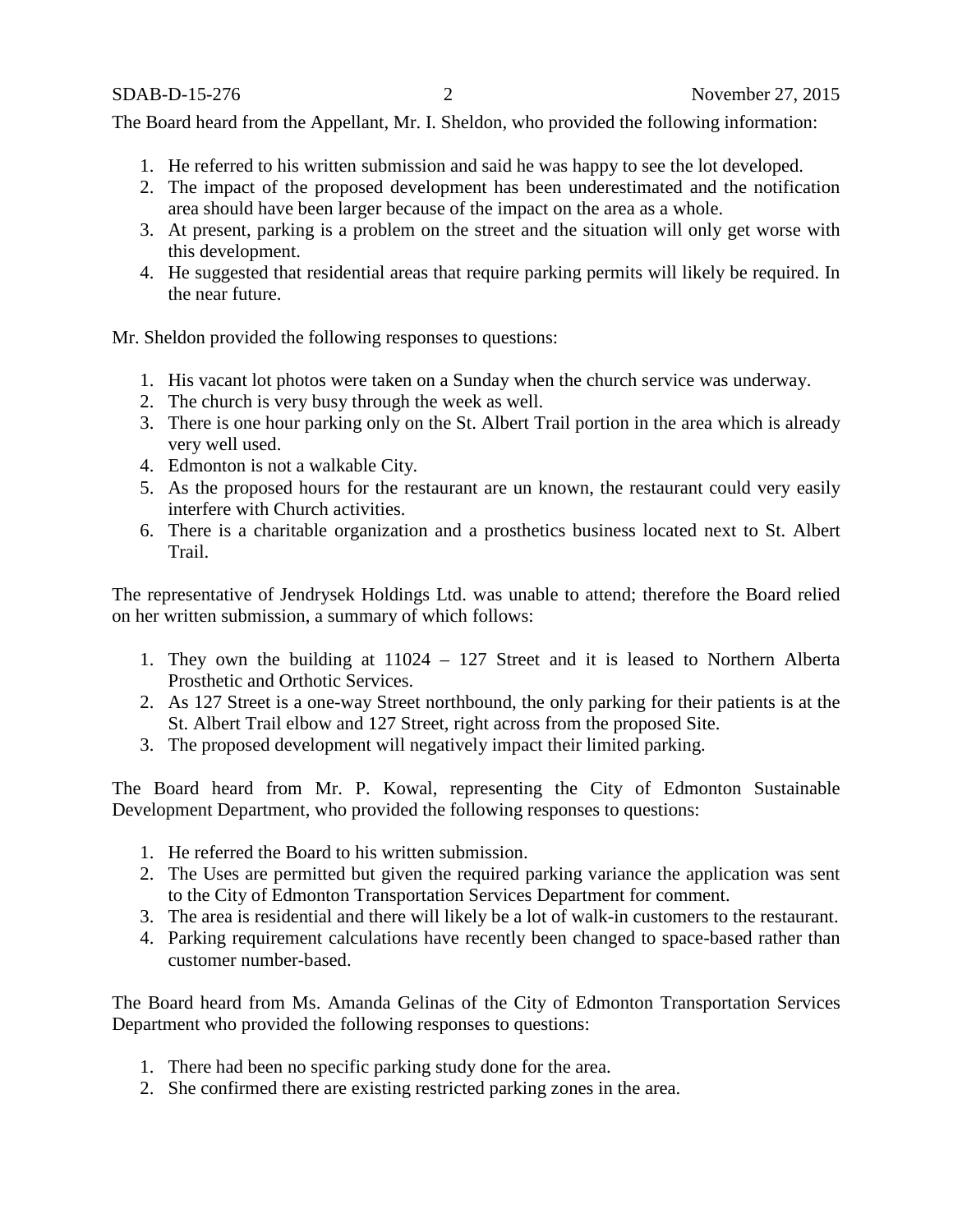The Board heard from the Appellant, Mr. I. Sheldon, who provided the following information:

- 1. He referred to his written submission and said he was happy to see the lot developed.
- 2. The impact of the proposed development has been underestimated and the notification area should have been larger because of the impact on the area as a whole.
- 3. At present, parking is a problem on the street and the situation will only get worse with this development.
- 4. He suggested that residential areas that require parking permits will likely be required. In the near future.

Mr. Sheldon provided the following responses to questions:

- 1. His vacant lot photos were taken on a Sunday when the church service was underway.
- 2. The church is very busy through the week as well.
- 3. There is one hour parking only on the St. Albert Trail portion in the area which is already very well used.
- 4. Edmonton is not a walkable City.
- 5. As the proposed hours for the restaurant are un known, the restaurant could very easily interfere with Church activities.
- 6. There is a charitable organization and a prosthetics business located next to St. Albert Trail.

The representative of Jendrysek Holdings Ltd. was unable to attend; therefore the Board relied on her written submission, a summary of which follows:

- 1. They own the building at 11024 127 Street and it is leased to Northern Alberta Prosthetic and Orthotic Services.
- 2. As 127 Street is a one-way Street northbound, the only parking for their patients is at the St. Albert Trail elbow and 127 Street, right across from the proposed Site.
- 3. The proposed development will negatively impact their limited parking.

The Board heard from Mr. P. Kowal, representing the City of Edmonton Sustainable Development Department, who provided the following responses to questions:

- 1. He referred the Board to his written submission.
- 2. The Uses are permitted but given the required parking variance the application was sent to the City of Edmonton Transportation Services Department for comment.
- 3. The area is residential and there will likely be a lot of walk-in customers to the restaurant.
- 4. Parking requirement calculations have recently been changed to space-based rather than customer number-based.

The Board heard from Ms. Amanda Gelinas of the City of Edmonton Transportation Services Department who provided the following responses to questions:

- 1. There had been no specific parking study done for the area.
- 2. She confirmed there are existing restricted parking zones in the area.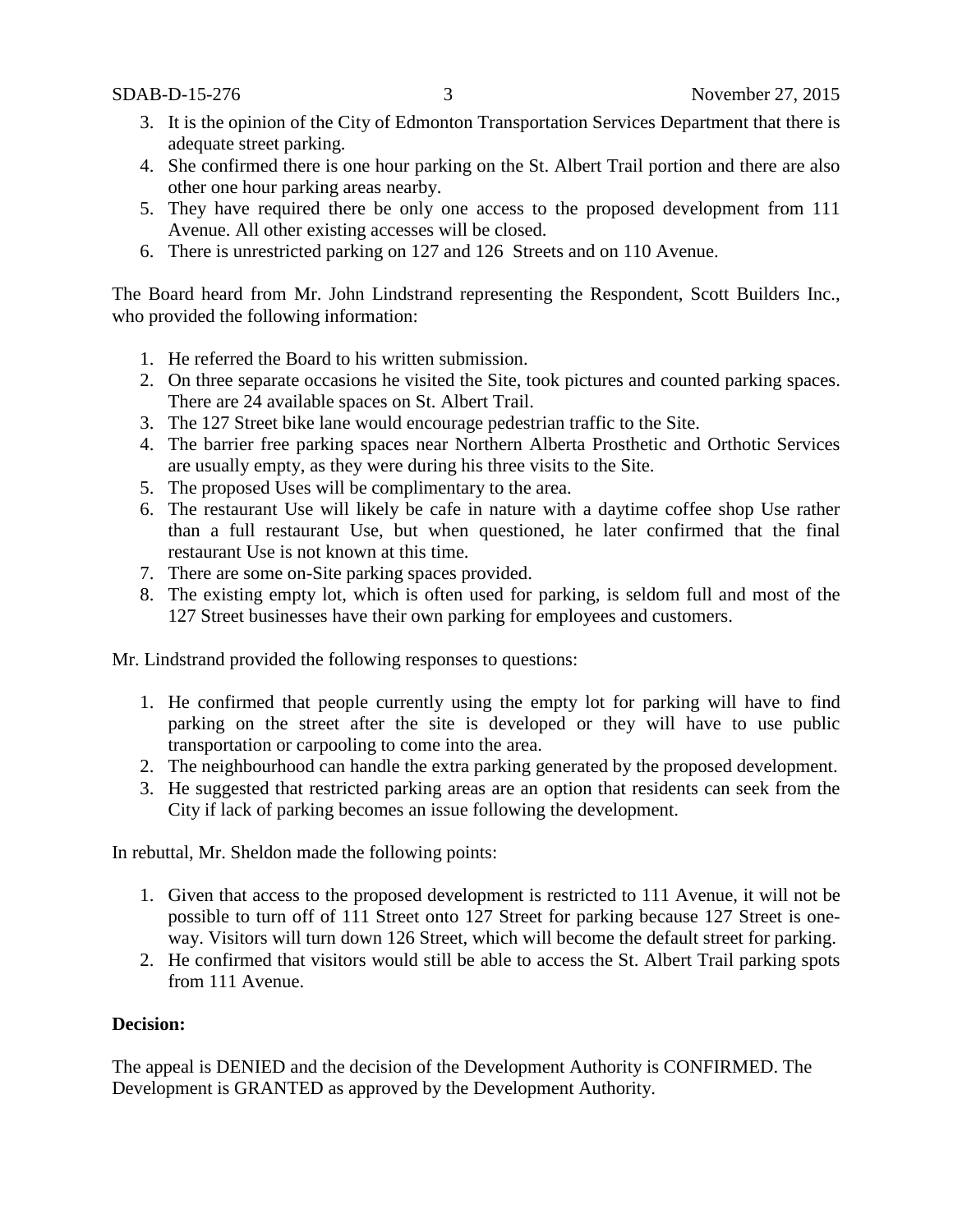- 3. It is the opinion of the City of Edmonton Transportation Services Department that there is adequate street parking.
- 4. She confirmed there is one hour parking on the St. Albert Trail portion and there are also other one hour parking areas nearby.
- 5. They have required there be only one access to the proposed development from 111 Avenue. All other existing accesses will be closed.
- 6. There is unrestricted parking on 127 and 126 Streets and on 110 Avenue.

The Board heard from Mr. John Lindstrand representing the Respondent, Scott Builders Inc., who provided the following information:

- 1. He referred the Board to his written submission.
- 2. On three separate occasions he visited the Site, took pictures and counted parking spaces. There are 24 available spaces on St. Albert Trail.
- 3. The 127 Street bike lane would encourage pedestrian traffic to the Site.
- 4. The barrier free parking spaces near Northern Alberta Prosthetic and Orthotic Services are usually empty, as they were during his three visits to the Site.
- 5. The proposed Uses will be complimentary to the area.
- 6. The restaurant Use will likely be cafe in nature with a daytime coffee shop Use rather than a full restaurant Use, but when questioned, he later confirmed that the final restaurant Use is not known at this time.
- 7. There are some on-Site parking spaces provided.
- 8. The existing empty lot, which is often used for parking, is seldom full and most of the 127 Street businesses have their own parking for employees and customers.

Mr. Lindstrand provided the following responses to questions:

- 1. He confirmed that people currently using the empty lot for parking will have to find parking on the street after the site is developed or they will have to use public transportation or carpooling to come into the area.
- 2. The neighbourhood can handle the extra parking generated by the proposed development.
- 3. He suggested that restricted parking areas are an option that residents can seek from the City if lack of parking becomes an issue following the development.

In rebuttal, Mr. Sheldon made the following points:

- 1. Given that access to the proposed development is restricted to 111 Avenue, it will not be possible to turn off of 111 Street onto 127 Street for parking because 127 Street is oneway. Visitors will turn down 126 Street, which will become the default street for parking.
- 2. He confirmed that visitors would still be able to access the St. Albert Trail parking spots from 111 Avenue.

### **Decision:**

The appeal is DENIED and the decision of the Development Authority is CONFIRMED. The Development is GRANTED as approved by the Development Authority.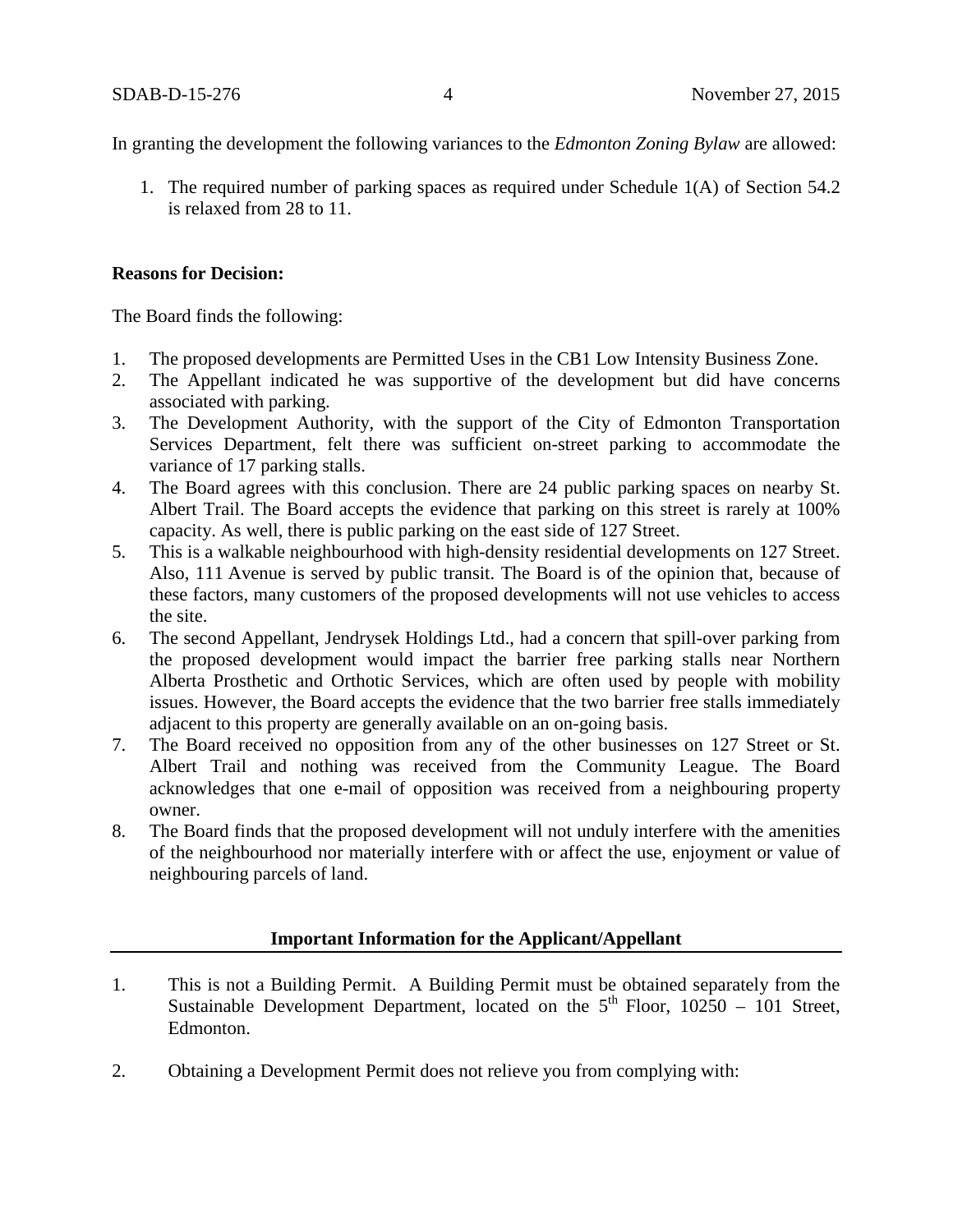In granting the development the following variances to the *Edmonton Zoning Bylaw* are allowed:

1. The required number of parking spaces as required under Schedule 1(A) of Section 54.2 is relaxed from 28 to 11.

### **Reasons for Decision:**

The Board finds the following:

- 1. The proposed developments are Permitted Uses in the CB1 Low Intensity Business Zone.
- 2. The Appellant indicated he was supportive of the development but did have concerns associated with parking.
- 3. The Development Authority, with the support of the City of Edmonton Transportation Services Department, felt there was sufficient on-street parking to accommodate the variance of 17 parking stalls.
- 4. The Board agrees with this conclusion. There are 24 public parking spaces on nearby St. Albert Trail. The Board accepts the evidence that parking on this street is rarely at 100% capacity. As well, there is public parking on the east side of 127 Street.
- 5. This is a walkable neighbourhood with high-density residential developments on 127 Street. Also, 111 Avenue is served by public transit. The Board is of the opinion that, because of these factors, many customers of the proposed developments will not use vehicles to access the site.
- 6. The second Appellant, Jendrysek Holdings Ltd., had a concern that spill-over parking from the proposed development would impact the barrier free parking stalls near Northern Alberta Prosthetic and Orthotic Services, which are often used by people with mobility issues. However, the Board accepts the evidence that the two barrier free stalls immediately adjacent to this property are generally available on an on-going basis.
- 7. The Board received no opposition from any of the other businesses on 127 Street or St. Albert Trail and nothing was received from the Community League. The Board acknowledges that one e-mail of opposition was received from a neighbouring property owner.
- 8. The Board finds that the proposed development will not unduly interfere with the amenities of the neighbourhood nor materially interfere with or affect the use, enjoyment or value of neighbouring parcels of land.

## **Important Information for the Applicant/Appellant**

- 1. This is not a Building Permit. A Building Permit must be obtained separately from the Sustainable Development Department, located on the  $5<sup>th</sup>$  Floor, 10250 – 101 Street, Edmonton.
- 2. Obtaining a Development Permit does not relieve you from complying with: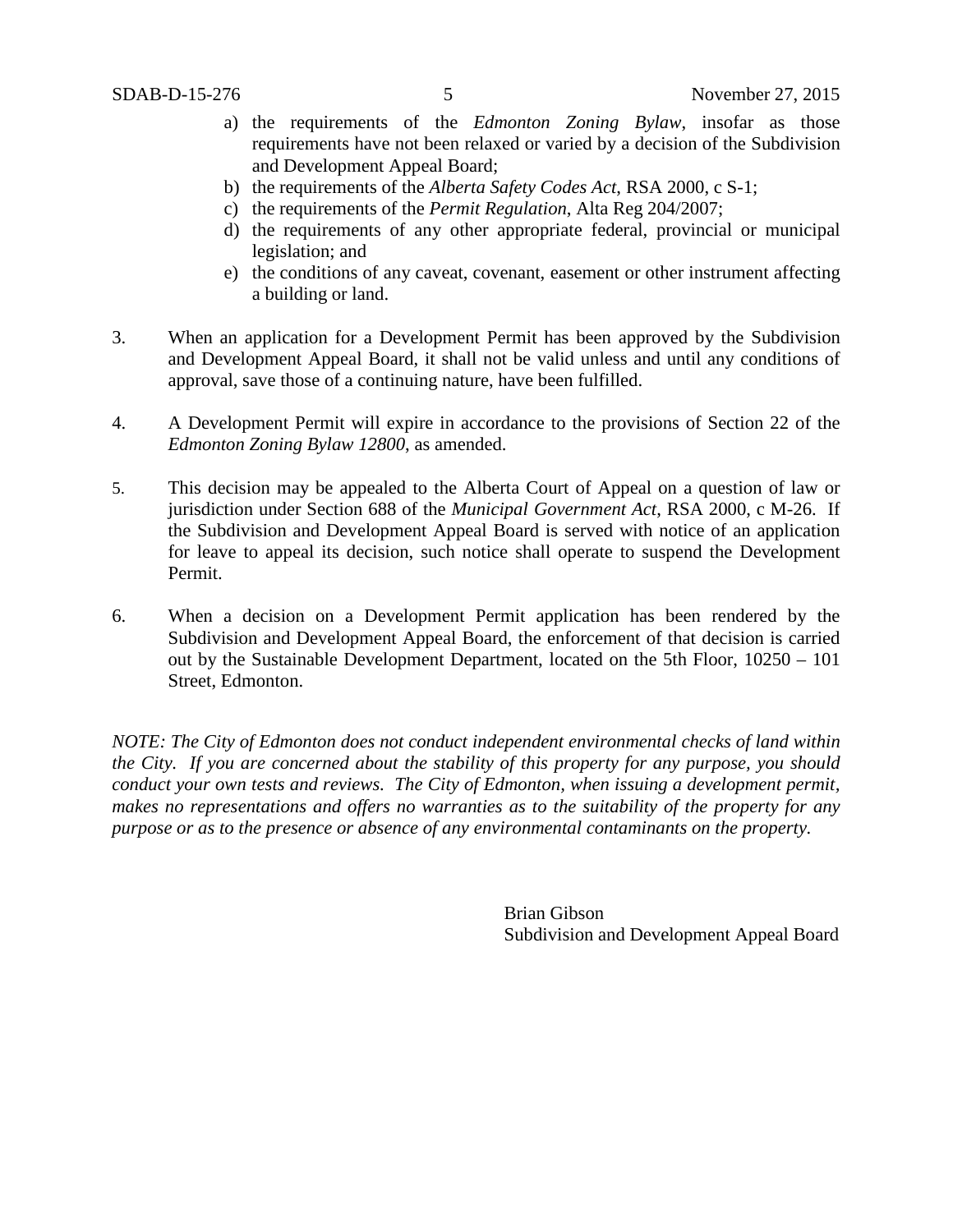- a) the requirements of the *Edmonton Zoning Bylaw*, insofar as those requirements have not been relaxed or varied by a decision of the Subdivision and Development Appeal Board;
- b) the requirements of the *Alberta Safety Codes Act*, RSA 2000, c S-1;
- c) the requirements of the *Permit Regulation*, Alta Reg 204/2007;
- d) the requirements of any other appropriate federal, provincial or municipal legislation; and
- e) the conditions of any caveat, covenant, easement or other instrument affecting a building or land.
- 3. When an application for a Development Permit has been approved by the Subdivision and Development Appeal Board, it shall not be valid unless and until any conditions of approval, save those of a continuing nature, have been fulfilled.
- 4. A Development Permit will expire in accordance to the provisions of Section 22 of the *Edmonton Zoning Bylaw 12800*, as amended.
- 5. This decision may be appealed to the Alberta Court of Appeal on a question of law or jurisdiction under Section 688 of the *Municipal Government Act*, RSA 2000, c M-26. If the Subdivision and Development Appeal Board is served with notice of an application for leave to appeal its decision, such notice shall operate to suspend the Development Permit.
- 6. When a decision on a Development Permit application has been rendered by the Subdivision and Development Appeal Board, the enforcement of that decision is carried out by the Sustainable Development Department, located on the 5th Floor, 10250 – 101 Street, Edmonton.

*NOTE: The City of Edmonton does not conduct independent environmental checks of land within the City. If you are concerned about the stability of this property for any purpose, you should conduct your own tests and reviews. The City of Edmonton, when issuing a development permit, makes no representations and offers no warranties as to the suitability of the property for any purpose or as to the presence or absence of any environmental contaminants on the property.*

> Brian Gibson Subdivision and Development Appeal Board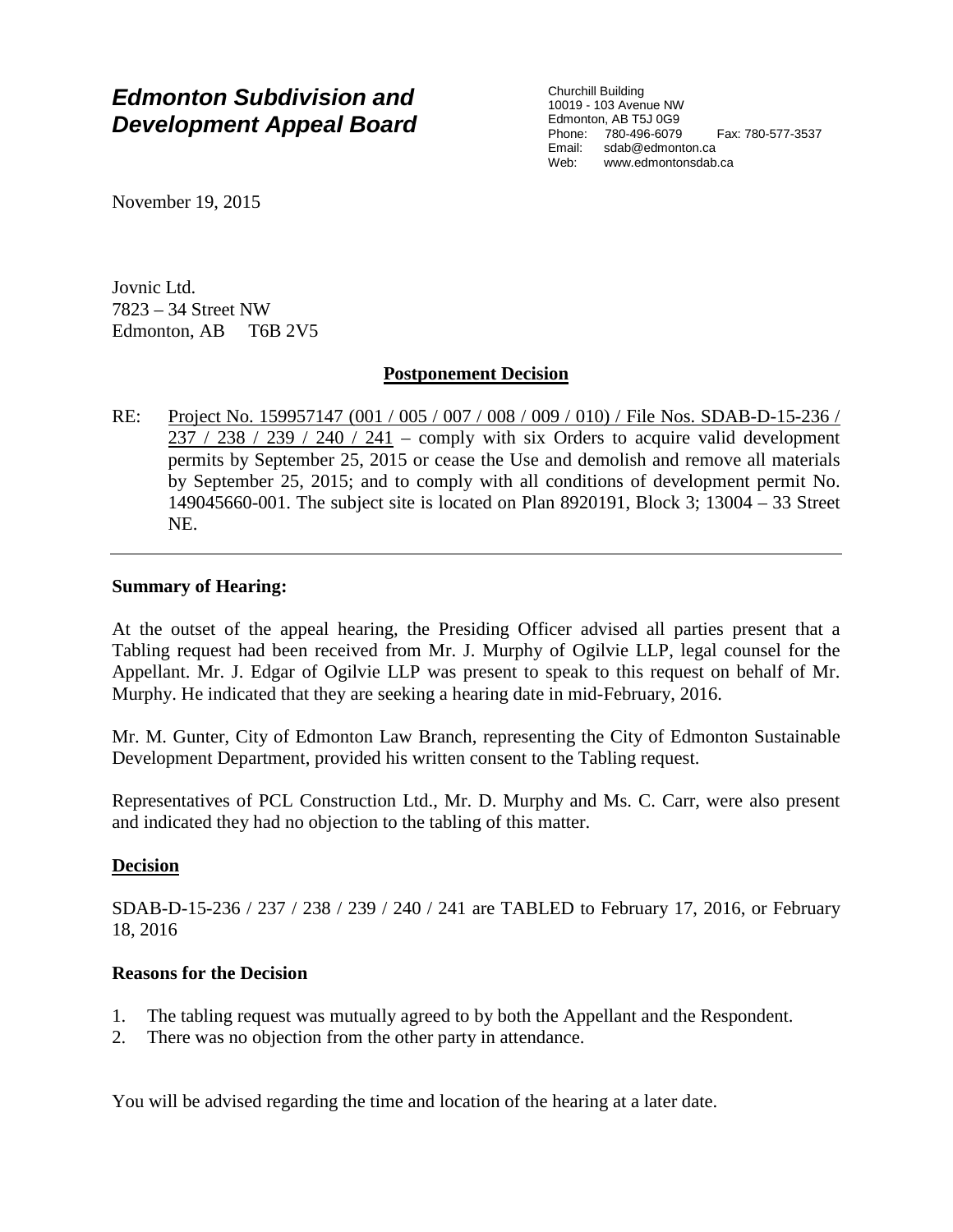# *Edmonton Subdivision and Development Appeal Board*

Churchill Building 10019 - 103 Avenue NW Edmonton, AB T5J 0G9 Phone: 780-496-6079 Fax: 780-577-3537 Email: sdab@edmonton.ca<br>Web: www.edmontonsdab Web: www.edmontonsdab.ca

November 19, 2015

Jovnic Ltd. 7823 – 34 Street NW Edmonton, AB T6B 2V5

## **Postponement Decision**

RE: Project No. 159957147 (001 / 005 / 007 / 008 / 009 / 010) / File Nos. SDAB-D-15-236 /  $237 / 238 / 239 / 240 / 241$  – comply with six Orders to acquire valid development permits by September 25, 2015 or cease the Use and demolish and remove all materials by September 25, 2015; and to comply with all conditions of development permit No. 149045660-001. The subject site is located on Plan 8920191, Block 3; 13004 – 33 Street NE.

### **Summary of Hearing:**

At the outset of the appeal hearing, the Presiding Officer advised all parties present that a Tabling request had been received from Mr. J. Murphy of Ogilvie LLP, legal counsel for the Appellant. Mr. J. Edgar of Ogilvie LLP was present to speak to this request on behalf of Mr. Murphy. He indicated that they are seeking a hearing date in mid-February, 2016.

Mr. M. Gunter, City of Edmonton Law Branch, representing the City of Edmonton Sustainable Development Department, provided his written consent to the Tabling request.

Representatives of PCL Construction Ltd., Mr. D. Murphy and Ms. C. Carr, were also present and indicated they had no objection to the tabling of this matter.

### **Decision**

SDAB-D-15-236 / 237 / 238 / 239 / 240 / 241 are TABLED to February 17, 2016, or February 18, 2016

### **Reasons for the Decision**

- 1. The tabling request was mutually agreed to by both the Appellant and the Respondent.
- 2. There was no objection from the other party in attendance.

You will be advised regarding the time and location of the hearing at a later date.